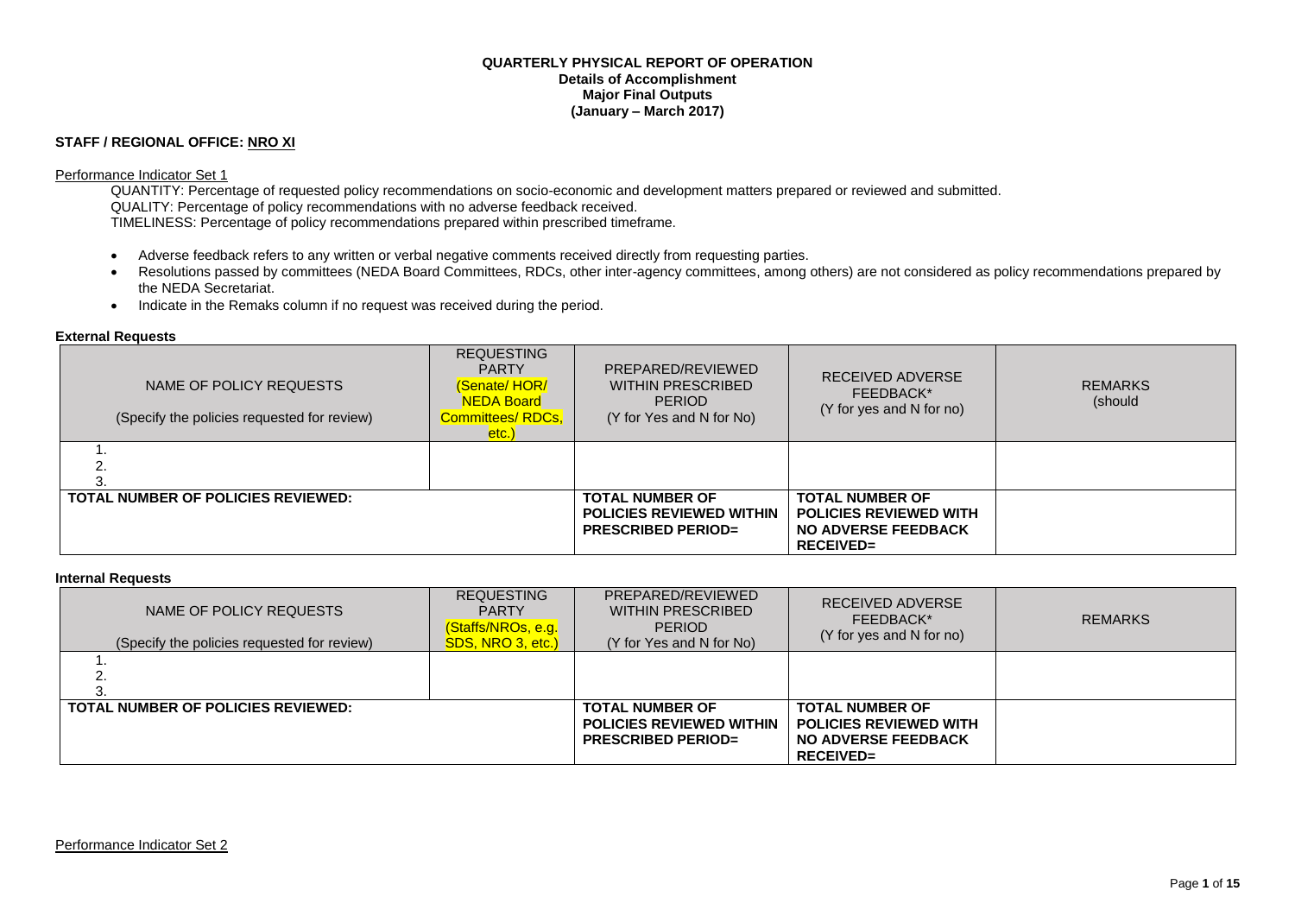#### **QUARTERLY PHYSICAL REPORT OF OPERATION Details of Accomplishment Major Final Outputs (January – March 2017)**

### **STAFF / REGIONAL OFFICE: NRO XI**

#### Performance Indicator Set 1

QUANTITY: Percentage of requested policy recommendations on socio-economic and development matters prepared or reviewed and submitted. QUALITY: Percentage of policy recommendations with no adverse feedback received. TIMELINESS: Percentage of policy recommendations prepared within prescribed timeframe.

- Adverse feedback refers to any written or verbal negative comments received directly from requesting parties.
- Resolutions passed by committees (NEDA Board Committees, RDCs, other inter-agency committees, among others) are not considered as policy recommendations prepared by the NEDA Secretariat.
- Indicate in the Remaks column if no request was received during the period.

#### **External Requests**

| NAME OF POLICY REQUESTS<br>(Specify the policies requested for review) | <b>REQUESTING</b><br><b>PARTY</b><br>(Senate/HOR/<br><b>NEDA Board</b><br>Committees/RDCs,<br>etc.) | PREPARED/REVIEWED<br>WITHIN PRESCRIBED<br><b>PERIOD</b><br>(Y for Yes and N for No)    | RECEIVED ADVERSE<br>FEEDBACK*<br>(Y for yes and N for no)                                                 | <b>REMARKS</b><br>(should |
|------------------------------------------------------------------------|-----------------------------------------------------------------------------------------------------|----------------------------------------------------------------------------------------|-----------------------------------------------------------------------------------------------------------|---------------------------|
|                                                                        |                                                                                                     |                                                                                        |                                                                                                           |                           |
| <b>TOTAL NUMBER OF POLICIES REVIEWED:</b>                              |                                                                                                     | <b>TOTAL NUMBER OF</b><br><b>POLICIES REVIEWED WITHIN</b><br><b>PRESCRIBED PERIOD=</b> | <b>TOTAL NUMBER OF</b><br><b>POLICIES REVIEWED WITH</b><br><b>NO ADVERSE FEEDBACK</b><br><b>RECEIVED=</b> |                           |

#### **Internal Requests**

| NAME OF POLICY REQUESTS<br>(Specify the policies requested for review) | <b>REQUESTING</b><br><b>PARTY</b><br>(Staffs/NROs, e.g.<br>SDS, NRO 3, etc.) | PREPARED/REVIEWED<br><b>WITHIN PRESCRIBED</b><br><b>PERIOD</b><br>(Y for Yes and N for No) | RECEIVED ADVERSE<br>FEEDBACK*<br>(Y for yes and N for no)                                                 | <b>REMARKS</b> |
|------------------------------------------------------------------------|------------------------------------------------------------------------------|--------------------------------------------------------------------------------------------|-----------------------------------------------------------------------------------------------------------|----------------|
| <u>.</u>                                                               |                                                                              |                                                                                            |                                                                                                           |                |
| <b>TOTAL NUMBER OF POLICIES REVIEWED:</b>                              |                                                                              | <b>TOTAL NUMBER OF</b><br><b>POLICIES REVIEWED WITHIN</b><br><b>PRESCRIBED PERIOD=</b>     | <b>TOTAL NUMBER OF</b><br><b>POLICIES REVIEWED WITH</b><br><b>NO ADVERSE FEEDBACK</b><br><b>RECEIVED=</b> |                |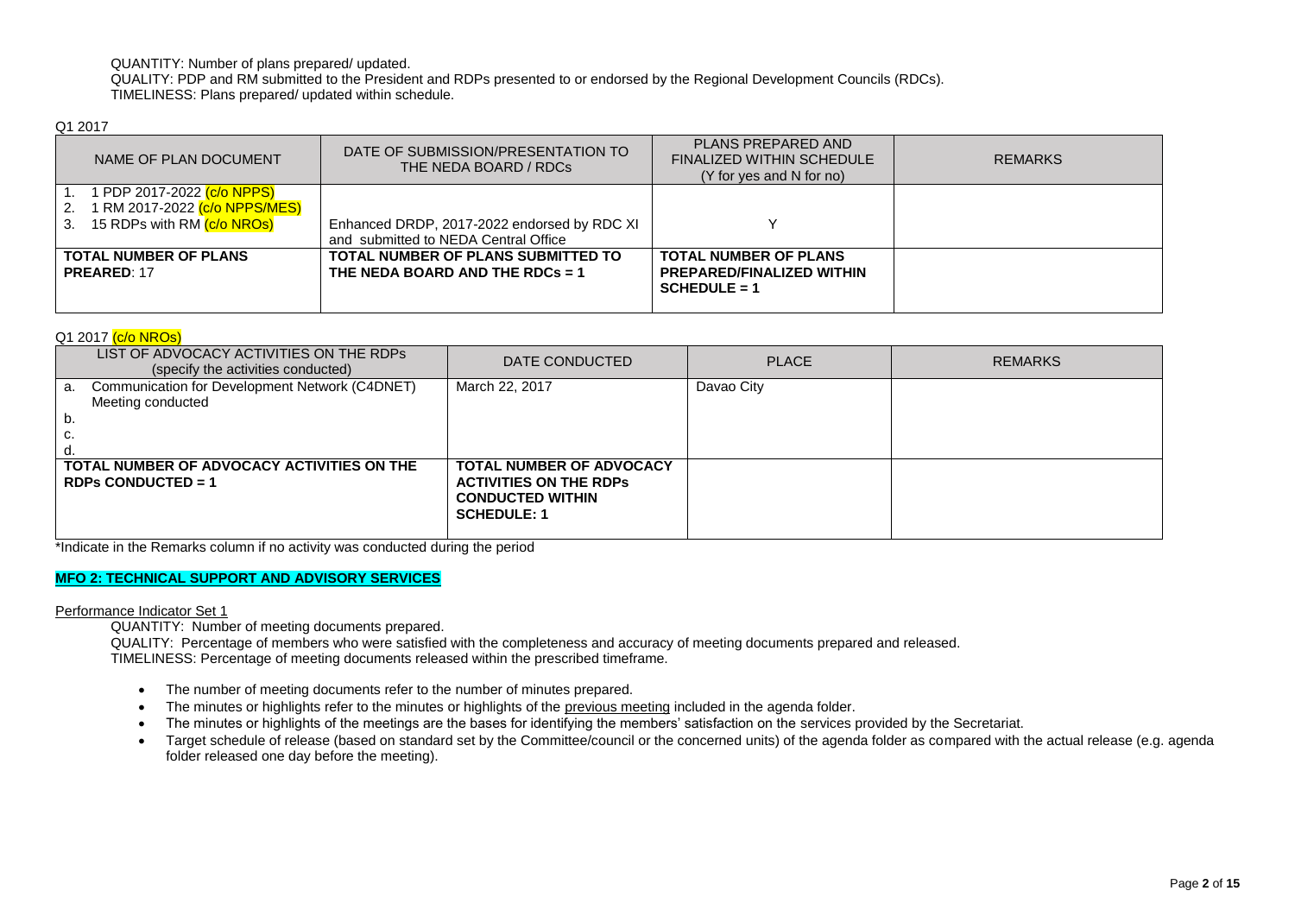QUANTITY: Number of plans prepared/ updated.

QUALITY: PDP and RM submitted to the President and RDPs presented to or endorsed by the Regional Development Councils (RDCs). TIMELINESS: Plans prepared/ updated within schedule.

Q1 2017

| NAME OF PLAN DOCUMENT                                                                                                                  | DATE OF SUBMISSION/PRESENTATION TO<br>THE NEDA BOARD / RDCs                         | PLANS PREPARED AND<br><b>FINALIZED WITHIN SCHEDULE</b><br>(Y for yes and N for no) | <b>REMARKS</b> |
|----------------------------------------------------------------------------------------------------------------------------------------|-------------------------------------------------------------------------------------|------------------------------------------------------------------------------------|----------------|
| 1 PDP 2017-2022 <mark>(c/o NPPS)</mark><br>1 RM 2017-2022 <mark>(c/o NPPS/MES)</mark><br>15 RDPs with RM <mark>(c/o NROs)</mark><br>3. | Enhanced DRDP, 2017-2022 endorsed by RDC XI<br>and submitted to NEDA Central Office |                                                                                    |                |
| <b>TOTAL NUMBER OF PLANS</b><br><b>PREARED: 17</b>                                                                                     | TOTAL NUMBER OF PLANS SUBMITTED TO<br>THE NEDA BOARD AND THE RDCs = 1               | <b>TOTAL NUMBER OF PLANS</b><br><b>PREPARED/FINALIZED WITHIN</b><br>$SCHEDULE = 1$ |                |

### Q1 2017 (c/o NROs)

| LIST OF ADVOCACY ACTIVITIES ON THE RDPS<br>(specify the activities conducted)          | DATE CONDUCTED                                                                                                    | <b>PLACE</b> | <b>REMARKS</b> |
|----------------------------------------------------------------------------------------|-------------------------------------------------------------------------------------------------------------------|--------------|----------------|
| Communication for Development Network (C4DNET)<br>a.<br>Meeting conducted<br>'b.<br>c. | March 22, 2017                                                                                                    | Davao City   |                |
| TOTAL NUMBER OF ADVOCACY ACTIVITIES ON THE<br><b>RDPs CONDUCTED = 1</b>                | <b>TOTAL NUMBER OF ADVOCACY</b><br><b>ACTIVITIES ON THE RDPS</b><br><b>CONDUCTED WITHIN</b><br><b>SCHEDULE: 1</b> |              |                |

\*Indicate in the Remarks column if no activity was conducted during the period

## **MFO 2: TECHNICAL SUPPORT AND ADVISORY SERVICES**

Performance Indicator Set 1

QUANTITY: Number of meeting documents prepared.

QUALITY: Percentage of members who were satisfied with the completeness and accuracy of meeting documents prepared and released. TIMELINESS: Percentage of meeting documents released within the prescribed timeframe.

- The number of meeting documents refer to the number of minutes prepared.
- The minutes or highlights refer to the minutes or highlights of the previous meeting included in the agenda folder.
- The minutes or highlights of the meetings are the bases for identifying the members' satisfaction on the services provided by the Secretariat.
- Target schedule of release (based on standard set by the Committee/council or the concerned units) of the agenda folder as compared with the actual release (e.g. agenda folder released one day before the meeting).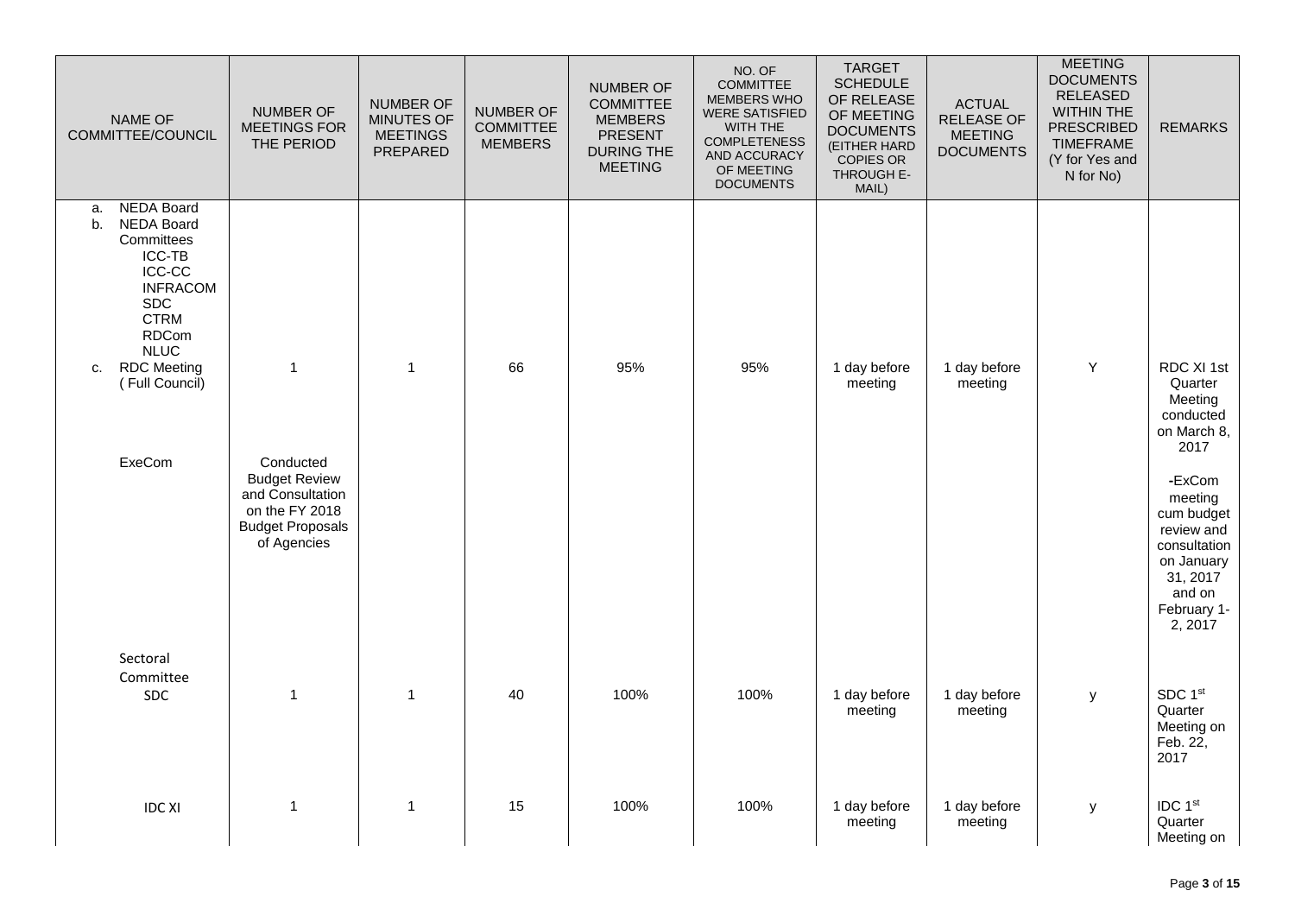| NAME OF<br>COMMITTEE/COUNCIL                                                                                                                                               | <b>NUMBER OF</b><br>MEETINGS FOR<br>THE PERIOD                                                       | <b>NUMBER OF</b><br>MINUTES OF<br><b>MEETINGS</b><br>PREPARED | NUMBER OF<br><b>COMMITTEE</b><br><b>MEMBERS</b> | NUMBER OF<br><b>COMMITTEE</b><br><b>MEMBERS</b><br>PRESENT<br><b>DURING THE</b><br><b>MEETING</b> | NO. OF<br>COMMITTEE<br><b>MEMBERS WHO</b><br><b>WERE SATISFIED</b><br>WITH THE<br><b>COMPLETENESS</b><br>AND ACCURACY<br>OF MEETING<br><b>DOCUMENTS</b> | <b>TARGET</b><br><b>SCHEDULE</b><br>OF RELEASE<br>OF MEETING<br><b>DOCUMENTS</b><br>(EITHER HARD<br>COPIES OR<br>THROUGH E-<br>MAIL) | <b>ACTUAL</b><br><b>RELEASE OF</b><br><b>MEETING</b><br><b>DOCUMENTS</b> | <b>MEETING</b><br><b>DOCUMENTS</b><br><b>RELEASED</b><br><b>WITHIN THE</b><br><b>PRESCRIBED</b><br><b>TIMEFRAME</b><br>(Y for Yes and<br>N for No) | <b>REMARKS</b>                                                                                                              |
|----------------------------------------------------------------------------------------------------------------------------------------------------------------------------|------------------------------------------------------------------------------------------------------|---------------------------------------------------------------|-------------------------------------------------|---------------------------------------------------------------------------------------------------|---------------------------------------------------------------------------------------------------------------------------------------------------------|--------------------------------------------------------------------------------------------------------------------------------------|--------------------------------------------------------------------------|----------------------------------------------------------------------------------------------------------------------------------------------------|-----------------------------------------------------------------------------------------------------------------------------|
| <b>NEDA Board</b><br>a.<br><b>NEDA Board</b><br>b.<br>Committees<br>ICC-TB<br><b>ICC-CC</b><br><b>INFRACOM</b><br><b>SDC</b><br><b>CTRM</b><br><b>RDCom</b><br><b>NLUC</b> |                                                                                                      |                                                               |                                                 |                                                                                                   |                                                                                                                                                         |                                                                                                                                      |                                                                          |                                                                                                                                                    | RDC XI 1st                                                                                                                  |
| <b>RDC</b> Meeting<br>C.<br>(Full Council)<br>ExeCom                                                                                                                       | $\mathbf{1}$<br>Conducted                                                                            | $\overline{1}$                                                | 66                                              | 95%                                                                                               | 95%                                                                                                                                                     | 1 day before<br>meeting                                                                                                              | 1 day before<br>meeting                                                  | Y                                                                                                                                                  | Quarter<br>Meeting<br>conducted<br>on March 8,<br>2017                                                                      |
|                                                                                                                                                                            | <b>Budget Review</b><br>and Consultation<br>on the FY 2018<br><b>Budget Proposals</b><br>of Agencies |                                                               |                                                 |                                                                                                   |                                                                                                                                                         |                                                                                                                                      |                                                                          |                                                                                                                                                    | -ExCom<br>meeting<br>cum budget<br>review and<br>consultation<br>on January<br>31, 2017<br>and on<br>February 1-<br>2, 2017 |
| Sectoral<br>Committee<br>SDC                                                                                                                                               | $\mathbf{1}$                                                                                         | $\overline{1}$                                                | 40                                              | 100%                                                                                              | 100%                                                                                                                                                    | 1 day before<br>meeting                                                                                                              | 1 day before<br>meeting                                                  | y                                                                                                                                                  | SDC 1st<br>Quarter<br>Meeting on<br>Feb. 22,<br>2017                                                                        |
| <b>IDC XI</b>                                                                                                                                                              | $\mathbf{1}$                                                                                         | $\mathbf{1}$                                                  | 15                                              | 100%                                                                                              | 100%                                                                                                                                                    | 1 day before<br>meeting                                                                                                              | 1 day before<br>meeting                                                  | y                                                                                                                                                  | IDC 1st<br>Quarter<br>Meeting on                                                                                            |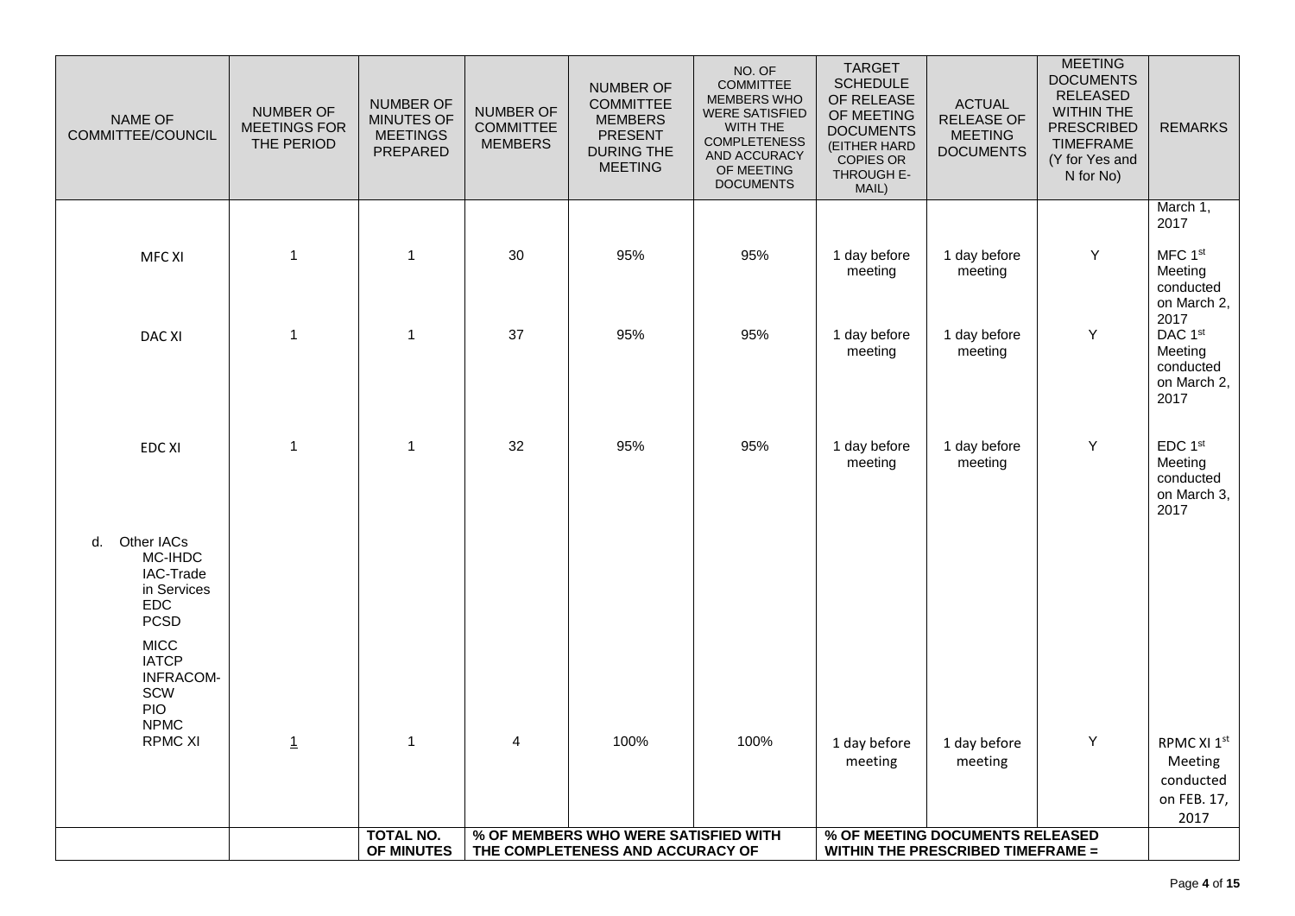| NAME OF<br>COMMITTEE/COUNCIL                                                                                                                                 | <b>NUMBER OF</b><br><b>MEETINGS FOR</b><br>THE PERIOD | NUMBER OF<br>MINUTES OF<br><b>MEETINGS</b><br>PREPARED | <b>NUMBER OF</b><br><b>COMMITTEE</b><br><b>MEMBERS</b> | <b>NUMBER OF</b><br><b>COMMITTEE</b><br><b>MEMBERS</b><br><b>PRESENT</b><br><b>DURING THE</b><br><b>MEETING</b> | NO. OF<br><b>COMMITTEE</b><br>MEMBERS WHO<br><b>WERE SATISFIED</b><br>WITH THE<br><b>COMPLETENESS</b><br>AND ACCURACY<br>OF MEETING<br><b>DOCUMENTS</b> | <b>TARGET</b><br><b>SCHEDULE</b><br>OF RELEASE<br>OF MEETING<br><b>DOCUMENTS</b><br>(EITHER HARD<br><b>COPIES OR</b><br>THROUGH E-<br>MAIL) | <b>ACTUAL</b><br>RELEASE OF<br><b>MEETING</b><br><b>DOCUMENTS</b> | <b>MEETING</b><br><b>DOCUMENTS</b><br><b>RELEASED</b><br><b>WITHIN THE</b><br><b>PRESCRIBED</b><br><b>TIMEFRAME</b><br>(Y for Yes and<br>N for No) | <b>REMARKS</b>                                                                                        |
|--------------------------------------------------------------------------------------------------------------------------------------------------------------|-------------------------------------------------------|--------------------------------------------------------|--------------------------------------------------------|-----------------------------------------------------------------------------------------------------------------|---------------------------------------------------------------------------------------------------------------------------------------------------------|---------------------------------------------------------------------------------------------------------------------------------------------|-------------------------------------------------------------------|----------------------------------------------------------------------------------------------------------------------------------------------------|-------------------------------------------------------------------------------------------------------|
| MFC XI                                                                                                                                                       | 1                                                     | 1                                                      | 30                                                     | 95%                                                                                                             | 95%                                                                                                                                                     | 1 day before                                                                                                                                | 1 day before                                                      | Y                                                                                                                                                  | March 1,<br>2017<br>MFC 1st                                                                           |
| <b>DAC XI</b>                                                                                                                                                | 1                                                     | $\mathbf{1}$                                           | 37                                                     | 95%                                                                                                             | 95%                                                                                                                                                     | meeting<br>1 day before<br>meeting                                                                                                          | meeting<br>1 day before<br>meeting                                | Υ                                                                                                                                                  | Meeting<br>conducted<br>on March 2,<br>2017<br>DAC 1st<br>Meeting<br>conducted<br>on March 2,<br>2017 |
| <b>EDC XI</b>                                                                                                                                                | $\mathbf{1}$                                          | $\mathbf{1}$                                           | 32                                                     | 95%                                                                                                             | 95%                                                                                                                                                     | 1 day before<br>meeting                                                                                                                     | 1 day before<br>meeting                                           | Υ                                                                                                                                                  | EDC 1st<br>Meeting<br>conducted<br>on March 3,<br>2017                                                |
| Other IACs<br>d.<br>MC-IHDC<br>IAC-Trade<br>in Services<br><b>EDC</b><br><b>PCSD</b><br><b>MICC</b><br><b>IATCP</b><br><b>INFRACOM-</b><br>SCW<br><b>PIO</b> |                                                       |                                                        |                                                        |                                                                                                                 |                                                                                                                                                         |                                                                                                                                             |                                                                   |                                                                                                                                                    |                                                                                                       |
| <b>NPMC</b><br><b>RPMC XI</b>                                                                                                                                | $\mathbf{1}$                                          | $\mathbf 1$                                            | 4                                                      | 100%                                                                                                            | 100%                                                                                                                                                    | 1 day before<br>meeting                                                                                                                     | 1 day before<br>meeting                                           | Υ                                                                                                                                                  | RPMC XI 1st<br>Meeting<br>conducted<br>on FEB. 17,<br>2017                                            |
|                                                                                                                                                              |                                                       | <b>TOTAL NO.</b><br>OF MINUTES                         |                                                        | % OF MEMBERS WHO WERE SATISFIED WITH<br>THE COMPLETENESS AND ACCURACY OF                                        |                                                                                                                                                         | % OF MEETING DOCUMENTS RELEASED<br><b>WITHIN THE PRESCRIBED TIMEFRAME =</b>                                                                 |                                                                   |                                                                                                                                                    |                                                                                                       |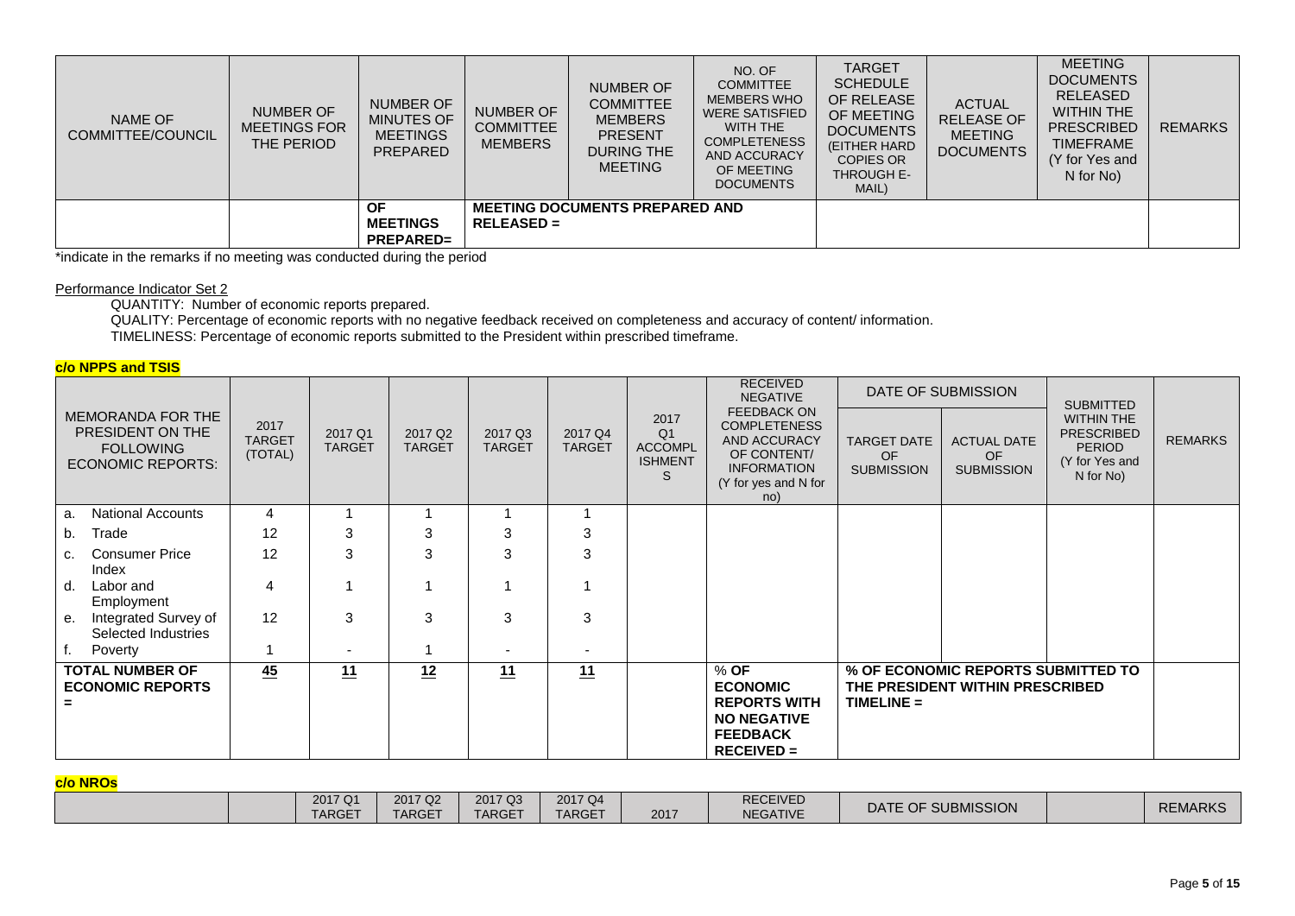| NAME OF<br>COMMITTEE/COUNCIL | <b>NUMBER OF</b><br><b>MEETINGS FOR</b><br>THE PERIOD | <b>NUMBER OF</b><br>MINUTES OF<br><b>MEETINGS</b><br><b>PREPARED</b> | NUMBER OF<br><b>COMMITTEE</b><br><b>MEMBERS</b> | NUMBER OF<br><b>COMMITTEE</b><br><b>MEMBERS</b><br><b>PRESENT</b><br><b>DURING THE</b><br><b>MEETING</b> | NO. OF<br><b>COMMITTEE</b><br><b>MEMBERS WHO</b><br><b>WERE SATISFIED</b><br>WITH THE<br><b>COMPLETENESS</b><br>AND ACCURACY<br>OF MEETING<br><b>DOCUMENTS</b> | <b>TARGET</b><br><b>SCHEDULE</b><br>OF RELEASE<br>OF MEETING<br><b>DOCUMENTS</b><br>(EITHER HARD<br><b>COPIES OR</b><br><b>THROUGH E-</b><br>MAIL) | <b>ACTUAL</b><br><b>RELEASE OF</b><br><b>MEETING</b><br><b>DOCUMENTS</b> | <b>MEETING</b><br><b>DOCUMENTS</b><br><b>RELEASED</b><br><b>WITHIN THE</b><br><b>PRESCRIBED</b><br><b>TIMEFRAME</b><br>(Y for Yes and<br>N for No) | <b>REMARKS</b> |
|------------------------------|-------------------------------------------------------|----------------------------------------------------------------------|-------------------------------------------------|----------------------------------------------------------------------------------------------------------|----------------------------------------------------------------------------------------------------------------------------------------------------------------|----------------------------------------------------------------------------------------------------------------------------------------------------|--------------------------------------------------------------------------|----------------------------------------------------------------------------------------------------------------------------------------------------|----------------|
|                              |                                                       | ΟF<br><b>MEETINGS</b><br><b>PREPARED=</b>                            | $RELEASED =$                                    | <b>MEETING DOCUMENTS PREPARED AND</b>                                                                    |                                                                                                                                                                |                                                                                                                                                    |                                                                          |                                                                                                                                                    |                |

\*indicate in the remarks if no meeting was conducted during the period

#### Performance Indicator Set 2

QUANTITY: Number of economic reports prepared.

QUALITY: Percentage of economic reports with no negative feedback received on completeness and accuracy of content/ information. TIMELINESS: Percentage of economic reports submitted to the President within prescribed timeframe.

## **c/o NPPS and TSIS**

|                                                                                       |                                  |                          |                                      |                          |                          |                                                                 | <b>RECEIVED</b><br><b>NEGATIVE</b>                                                                                                   |                                                      | DATE OF SUBMISSION                                                    | <b>SUBMITTED</b>                                                                       |                |
|---------------------------------------------------------------------------------------|----------------------------------|--------------------------|--------------------------------------|--------------------------|--------------------------|-----------------------------------------------------------------|--------------------------------------------------------------------------------------------------------------------------------------|------------------------------------------------------|-----------------------------------------------------------------------|----------------------------------------------------------------------------------------|----------------|
| MEMORANDA FOR THE<br>PRESIDENT ON THE<br><b>FOLLOWING</b><br><b>ECONOMIC REPORTS:</b> | 2017<br><b>TARGET</b><br>(TOTAL) | 2017 Q1<br><b>TARGET</b> | 2017 Q <sub>2</sub><br><b>TARGET</b> | 2017 Q3<br><b>TARGET</b> | 2017 Q4<br><b>TARGET</b> | 2017<br>Q <sub>1</sub><br><b>ACCOMPL</b><br><b>ISHMENT</b><br>S | <b>FEEDBACK ON</b><br><b>COMPLETENESS</b><br><b>AND ACCURACY</b><br>OF CONTENT/<br><b>INFORMATION</b><br>(Y for yes and N for<br>no) | <b>TARGET DATE</b><br><b>OF</b><br><b>SUBMISSION</b> | <b>ACTUAL DATE</b><br><b>OF</b><br><b>SUBMISSION</b>                  | <b>WITHIN THE</b><br><b>PRESCRIBED</b><br><b>PERIOD</b><br>(Y for Yes and<br>N for No) | <b>REMARKS</b> |
| <b>National Accounts</b><br>a                                                         | 4                                |                          |                                      |                          |                          |                                                                 |                                                                                                                                      |                                                      |                                                                       |                                                                                        |                |
| Trade<br>b.                                                                           | 12                               | 3                        | 3                                    | 3                        | 3                        |                                                                 |                                                                                                                                      |                                                      |                                                                       |                                                                                        |                |
| <b>Consumer Price</b><br>c.<br>Index                                                  | 12                               | 3                        | 3                                    | 3                        | 3                        |                                                                 |                                                                                                                                      |                                                      |                                                                       |                                                                                        |                |
| Labor and<br>d.<br>Employment                                                         | 4                                |                          |                                      |                          |                          |                                                                 |                                                                                                                                      |                                                      |                                                                       |                                                                                        |                |
| Integrated Survey of<br>е.<br>Selected Industries                                     | 12                               | 3                        | 3                                    | 3                        | 3                        |                                                                 |                                                                                                                                      |                                                      |                                                                       |                                                                                        |                |
| Poverty                                                                               |                                  | $\overline{\phantom{a}}$ |                                      | $\overline{\phantom{a}}$ | $\overline{\phantom{a}}$ |                                                                 |                                                                                                                                      |                                                      |                                                                       |                                                                                        |                |
| <b>TOTAL NUMBER OF</b><br><b>ECONOMIC REPORTS</b>                                     | 45                               | 11                       | 12                                   | 11                       | 11                       |                                                                 | $%$ OF<br><b>ECONOMIC</b><br><b>REPORTS WITH</b><br><b>NO NEGATIVE</b><br><b>FEEDBACK</b><br>$RECEIVED =$                            | $TIME =$                                             | % OF ECONOMIC REPORTS SUBMITTED TO<br>THE PRESIDENT WITHIN PRESCRIBED |                                                                                        |                |

#### **c/o NROs**

| <u>.</u> |                          |                   |                          |                          |      |                                    |                    |                |
|----------|--------------------------|-------------------|--------------------------|--------------------------|------|------------------------------------|--------------------|----------------|
|          | 2017 Q1<br><b>TARGET</b> | 2017 Q2<br>TARGET | 2017 Q3<br><b>TARGET</b> | 2017 Q4<br><b>TARGET</b> | 2017 | <b>RECEIVED</b><br><b>NEGATIVE</b> | DATE OF SUBMISSION | <b>REMARKS</b> |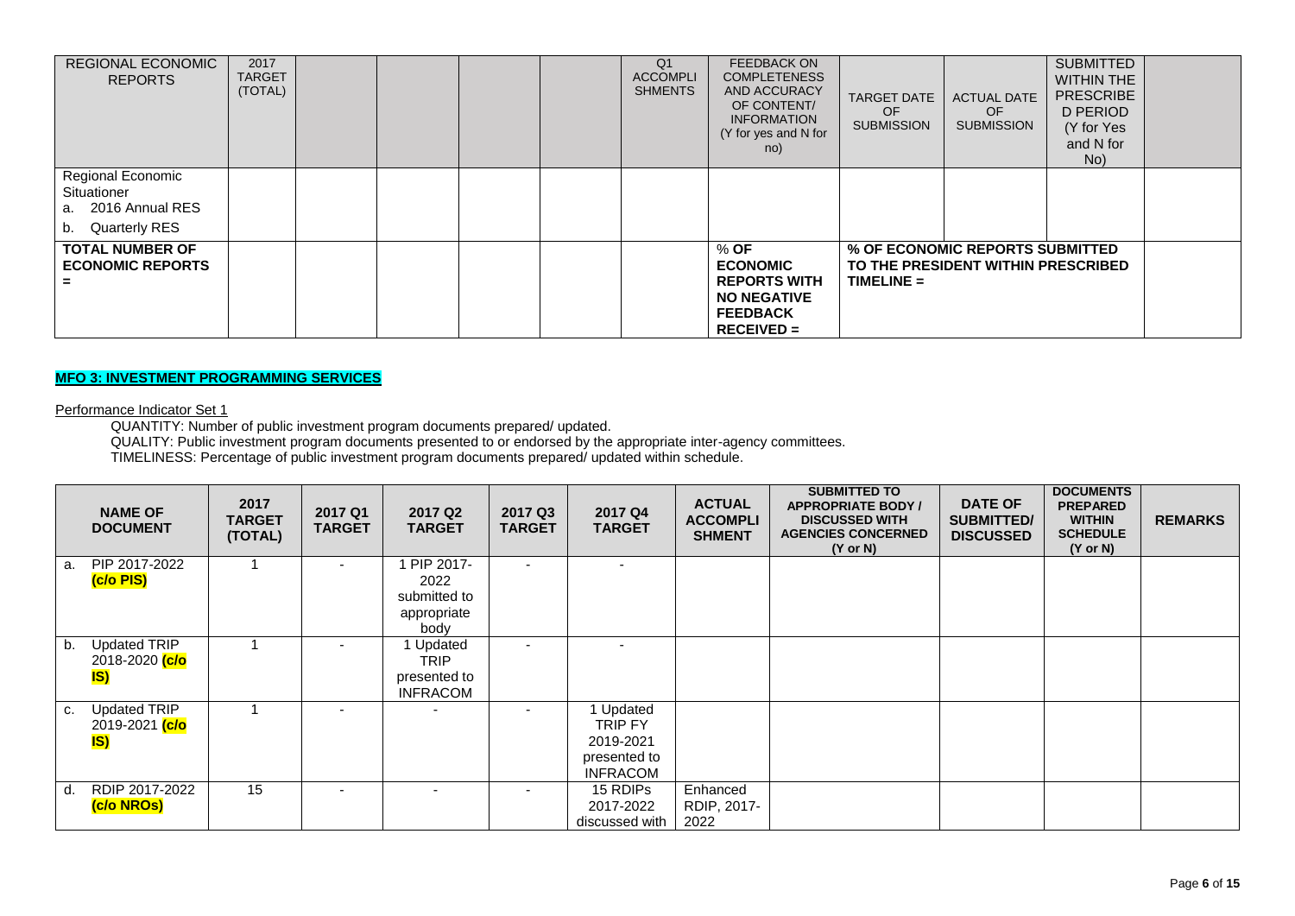| REGIONAL ECONOMIC<br><b>REPORTS</b>                                                  | 2017<br><b>TARGET</b><br>(TOTAL) |  |  | Q <sub>1</sub><br><b>ACCOMPLI</b><br><b>SHMENTS</b> | <b>FEEDBACK ON</b><br><b>COMPLETENESS</b><br><b>AND ACCURACY</b><br>OF CONTENT/<br><b>INFORMATION</b><br>(Y for yes and N for<br>no) | <b>TARGET DATE</b><br><b>OF</b><br><b>SUBMISSION</b> | <b>ACTUAL DATE</b><br>OF.<br><b>SUBMISSION</b>                        | <b>SUBMITTED</b><br><b>WITHIN THE</b><br><b>PRESCRIBE</b><br>D PERIOD<br>(Y for Yes<br>and N for<br>No) |  |
|--------------------------------------------------------------------------------------|----------------------------------|--|--|-----------------------------------------------------|--------------------------------------------------------------------------------------------------------------------------------------|------------------------------------------------------|-----------------------------------------------------------------------|---------------------------------------------------------------------------------------------------------|--|
| Regional Economic<br>Situationer<br>a. 2016 Annual RES<br><b>Quarterly RES</b><br>b. |                                  |  |  |                                                     |                                                                                                                                      |                                                      |                                                                       |                                                                                                         |  |
| <b>TOTAL NUMBER OF</b><br><b>ECONOMIC REPORTS</b>                                    |                                  |  |  |                                                     | $%$ OF<br><b>ECONOMIC</b><br><b>REPORTS WITH</b><br><b>NO NEGATIVE</b><br><b>FEEDBACK</b><br>$RECEIVED =$                            | $TIME =$                                             | % OF ECONOMIC REPORTS SUBMITTED<br>TO THE PRESIDENT WITHIN PRESCRIBED |                                                                                                         |  |

## **MFO 3: INVESTMENT PROGRAMMING SERVICES**

#### Performance Indicator Set 1

QUANTITY: Number of public investment program documents prepared/ updated.

QUALITY: Public investment program documents presented to or endorsed by the appropriate inter-agency committees.

TIMELINESS: Percentage of public investment program documents prepared/ updated within schedule.

|    | <b>NAME OF</b><br><b>DOCUMENT</b>                                | 2017<br><b>TARGET</b><br>(TOTAL) | 2017 Q1<br><b>TARGET</b> | 2017 Q <sub>2</sub><br><b>TARGET</b>                      | 2017 Q3<br><b>TARGET</b> | 2017 Q4<br><b>TARGET</b>                                                  | <b>ACTUAL</b><br><b>ACCOMPLI</b><br><b>SHMENT</b> | <b>SUBMITTED TO</b><br><b>APPROPRIATE BODY /</b><br><b>DISCUSSED WITH</b><br><b>AGENCIES CONCERNED</b><br>$(Y \text{ or } N)$ | <b>DATE OF</b><br><b>SUBMITTED/</b><br><b>DISCUSSED</b> | <b>DOCUMENTS</b><br><b>PREPARED</b><br><b>WITHIN</b><br><b>SCHEDULE</b><br>$(Y \text{ or } N)$ | <b>REMARKS</b> |
|----|------------------------------------------------------------------|----------------------------------|--------------------------|-----------------------------------------------------------|--------------------------|---------------------------------------------------------------------------|---------------------------------------------------|-------------------------------------------------------------------------------------------------------------------------------|---------------------------------------------------------|------------------------------------------------------------------------------------------------|----------------|
| а. | PIP 2017-2022<br>(c/o PIS)                                       |                                  |                          | PIP 2017-<br>2022<br>submitted to<br>appropriate<br>body  |                          |                                                                           |                                                   |                                                                                                                               |                                                         |                                                                                                |                |
| b. | <b>Updated TRIP</b><br>2018-2020 <mark>(c/o</mark><br>IS)        |                                  |                          | Updated<br><b>TRIP</b><br>presented to<br><b>INFRACOM</b> |                          |                                                                           |                                                   |                                                                                                                               |                                                         |                                                                                                |                |
| C. | <b>Updated TRIP</b><br>2019-2021 <mark>(c/o</mark><br><u>IS)</u> |                                  | $\overline{\phantom{0}}$ |                                                           |                          | Updated<br><b>TRIP FY</b><br>2019-2021<br>presented to<br><b>INFRACOM</b> |                                                   |                                                                                                                               |                                                         |                                                                                                |                |
| d. | RDIP 2017-2022<br>(c/o NROs)                                     | 15                               |                          |                                                           |                          | 15 RDIPS<br>2017-2022<br>discussed with                                   | Enhanced<br>RDIP, 2017-<br>2022                   |                                                                                                                               |                                                         |                                                                                                |                |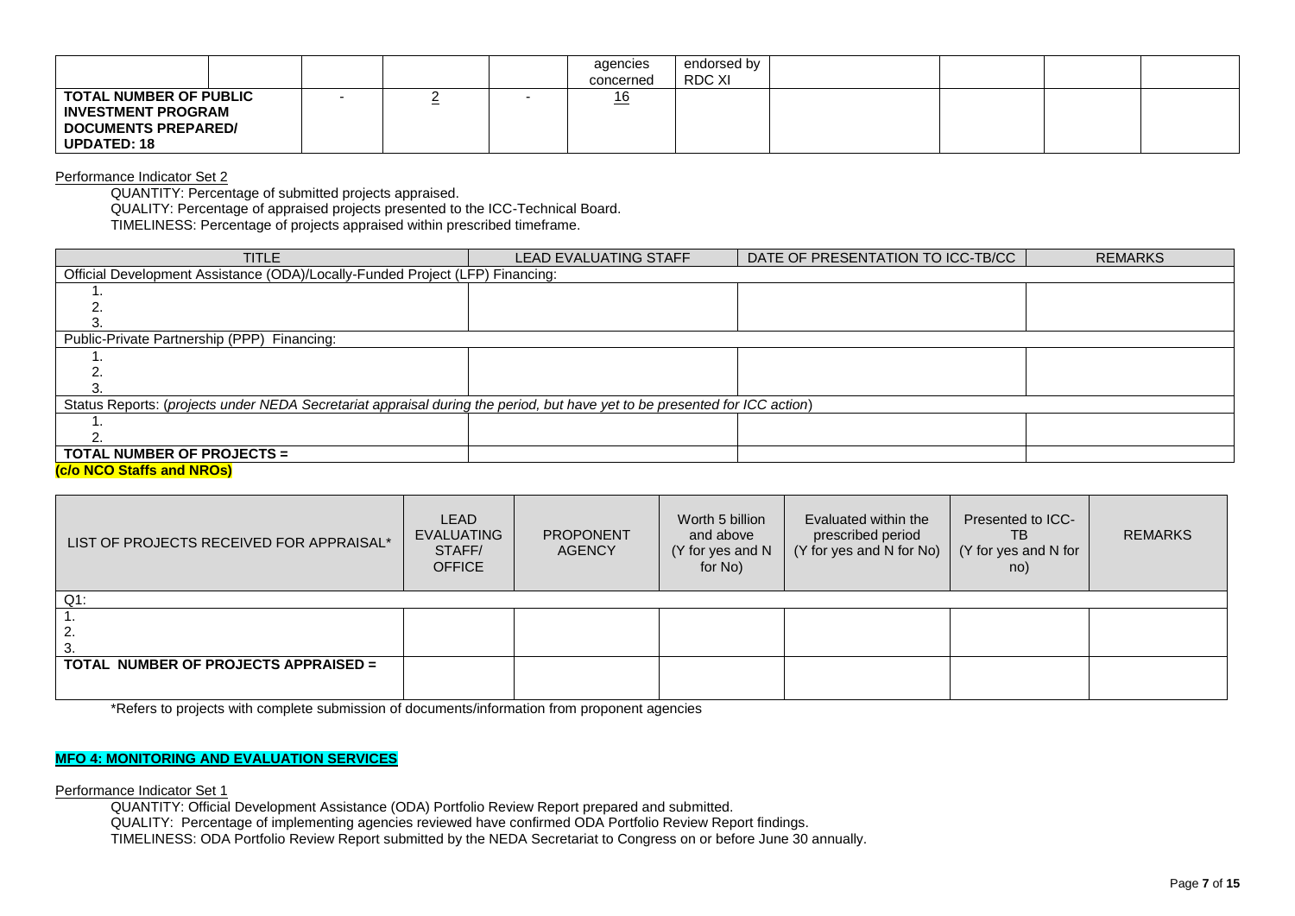|                                                                                                                |  | agencies<br>concerned | endorsed by<br>RDC XI |  |  |
|----------------------------------------------------------------------------------------------------------------|--|-----------------------|-----------------------|--|--|
| <b>TOTAL NUMBER OF PUBLIC</b><br><b>INVESTMENT PROGRAM</b><br><b>DOCUMENTS PREPARED/</b><br><b>UPDATED: 18</b> |  | 0،<br>$-$             |                       |  |  |

Performance Indicator Set 2

QUANTITY: Percentage of submitted projects appraised.

QUALITY: Percentage of appraised projects presented to the ICC-Technical Board.

TIMELINESS: Percentage of projects appraised within prescribed timeframe.

| <b>TITLE</b>                                                                                                               | <b>LEAD EVALUATING STAFF</b> | DATE OF PRESENTATION TO ICC-TB/CC | <b>REMARKS</b> |
|----------------------------------------------------------------------------------------------------------------------------|------------------------------|-----------------------------------|----------------|
| Official Development Assistance (ODA)/Locally-Funded Project (LFP) Financing:                                              |                              |                                   |                |
|                                                                                                                            |                              |                                   |                |
|                                                                                                                            |                              |                                   |                |
|                                                                                                                            |                              |                                   |                |
| Public-Private Partnership (PPP) Financing:                                                                                |                              |                                   |                |
|                                                                                                                            |                              |                                   |                |
|                                                                                                                            |                              |                                   |                |
|                                                                                                                            |                              |                                   |                |
| Status Reports: (projects under NEDA Secretariat appraisal during the period, but have yet to be presented for ICC action) |                              |                                   |                |
|                                                                                                                            |                              |                                   |                |
|                                                                                                                            |                              |                                   |                |
| <b>TOTAL NUMBER OF PROJECTS =</b>                                                                                          |                              |                                   |                |
| Jole NOO Clotte and NDOal                                                                                                  |                              |                                   |                |

#### **(c/o NCO Staffs and NROs)**

| LIST OF PROJECTS RECEIVED FOR APPRAISAL* | LEAD<br><b>EVALUATING</b><br>STAFF/<br><b>OFFICE</b> | <b>PROPONENT</b><br><b>AGENCY</b> | Worth 5 billion<br>and above<br>(Y for yes and N<br>for No) | Evaluated within the<br>prescribed period<br>$(Y$ for yes and N for No) | Presented to ICC-<br>ТB<br>(Y for yes and N for<br>no) | <b>REMARKS</b> |
|------------------------------------------|------------------------------------------------------|-----------------------------------|-------------------------------------------------------------|-------------------------------------------------------------------------|--------------------------------------------------------|----------------|
| $Q1$ :                                   |                                                      |                                   |                                                             |                                                                         |                                                        |                |
|                                          |                                                      |                                   |                                                             |                                                                         |                                                        |                |
| -2.                                      |                                                      |                                   |                                                             |                                                                         |                                                        |                |
| -3.                                      |                                                      |                                   |                                                             |                                                                         |                                                        |                |
| TOTAL NUMBER OF PROJECTS APPRAISED =     |                                                      |                                   |                                                             |                                                                         |                                                        |                |
|                                          |                                                      |                                   |                                                             |                                                                         |                                                        |                |

\*Refers to projects with complete submission of documents/information from proponent agencies

### **MFO 4: MONITORING AND EVALUATION SERVICES**

Performance Indicator Set 1

QUANTITY: Official Development Assistance (ODA) Portfolio Review Report prepared and submitted.

QUALITY: Percentage of implementing agencies reviewed have confirmed ODA Portfolio Review Report findings.

TIMELINESS: ODA Portfolio Review Report submitted by the NEDA Secretariat to Congress on or before June 30 annually.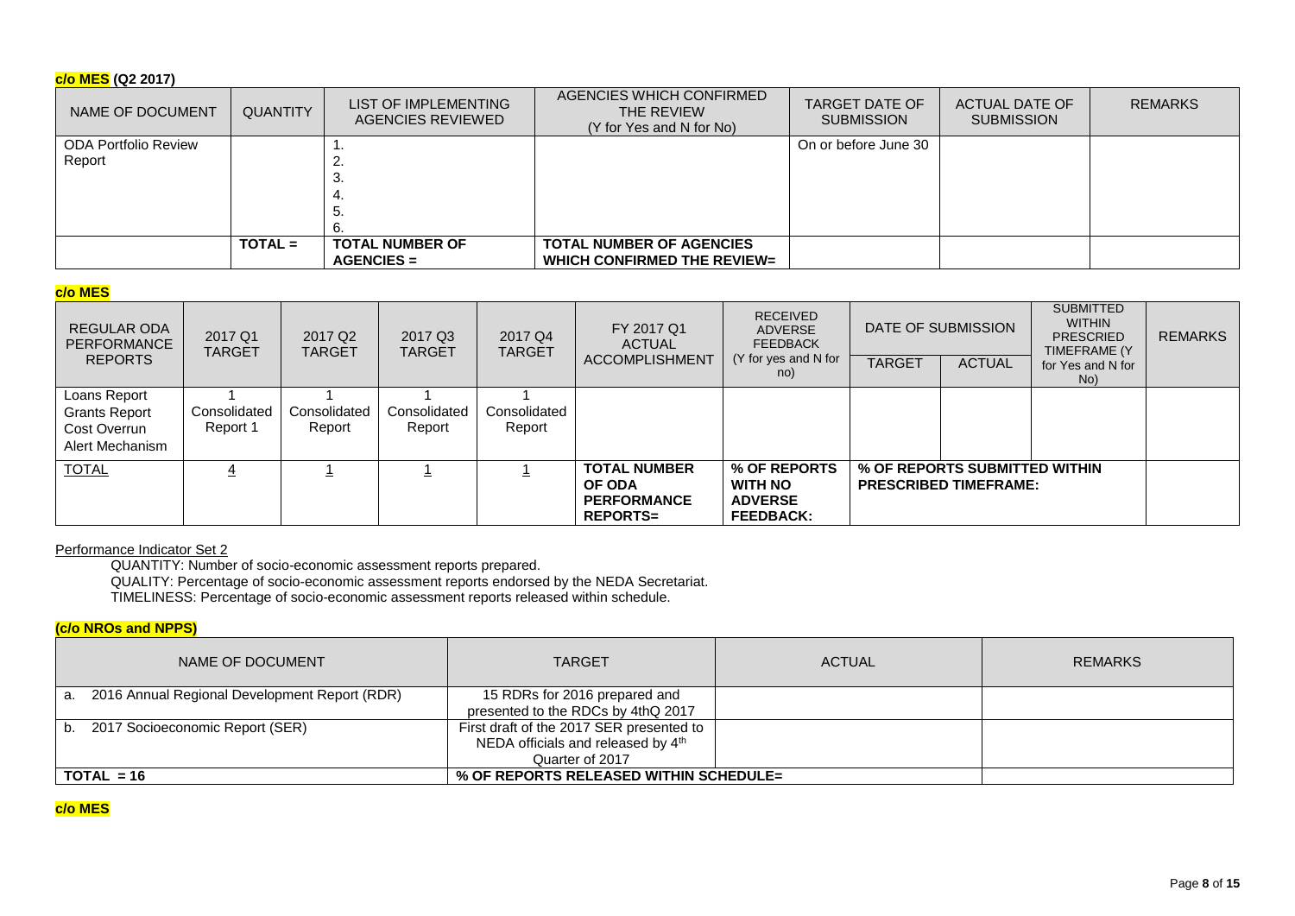# **c/o MES (Q2 2017)**

| NAME OF DOCUMENT            | <b>QUANTITY</b> | LIST OF IMPLEMENTING<br>AGENCIES REVIEWED | AGENCIES WHICH CONFIRMED<br>THE REVIEW<br>(Y for Yes and N for No) | <b>TARGET DATE OF</b><br><b>SUBMISSION</b> | ACTUAL DATE OF<br><b>SUBMISSION</b> | <b>REMARKS</b> |
|-----------------------------|-----------------|-------------------------------------------|--------------------------------------------------------------------|--------------------------------------------|-------------------------------------|----------------|
| <b>ODA Portfolio Review</b> |                 |                                           |                                                                    | On or before June 30                       |                                     |                |
| Report                      |                 |                                           |                                                                    |                                            |                                     |                |
|                             |                 |                                           |                                                                    |                                            |                                     |                |
|                             |                 |                                           |                                                                    |                                            |                                     |                |
|                             |                 | ິບ.                                       |                                                                    |                                            |                                     |                |
|                             |                 |                                           |                                                                    |                                            |                                     |                |
|                             | $TOTAL =$       | <b>TOTAL NUMBER OF</b>                    | <b>TOTAL NUMBER OF AGENCIES</b>                                    |                                            |                                     |                |
|                             |                 | $AGENCIES =$                              | <b>WHICH CONFIRMED THE REVIEW=</b>                                 |                                            |                                     |                |

# **c/o MES**

| REGULAR ODA<br>PERFORMANCE                                              | 2017 Q1<br>TARGET        | 2017 Q <sub>2</sub><br><b>TARGET</b> | 2017 Q3<br><b>TARGET</b> | 2017 Q4<br><b>TARGET</b> | FY 2017 Q1<br>ACTUAL                                                          | <b>RECEIVED</b><br>ADVERSE<br><b>FEEDBACK</b>                        |               | DATE OF SUBMISSION                                            | <b>SUBMITTED</b><br><b>WITHIN</b><br><b>PRESCRIED</b><br>TIMEFRAME (Y) | <b>REMARKS</b> |
|-------------------------------------------------------------------------|--------------------------|--------------------------------------|--------------------------|--------------------------|-------------------------------------------------------------------------------|----------------------------------------------------------------------|---------------|---------------------------------------------------------------|------------------------------------------------------------------------|----------------|
| <b>REPORTS</b>                                                          |                          |                                      |                          |                          | ACCOMPLISHMENT                                                                | (Y for yes and N for<br>no)                                          | <b>TARGET</b> | <b>ACTUAL</b>                                                 | for Yes and N for<br>No)                                               |                |
| Loans Report<br><b>Grants Report</b><br>Cost Overrun<br>Alert Mechanism | Consolidated<br>Report 1 | Consolidated<br>Report               | Consolidated<br>Report   | Consolidated<br>Report   |                                                                               |                                                                      |               |                                                               |                                                                        |                |
| <b>TOTAL</b>                                                            |                          |                                      |                          |                          | <b>TOTAL NUMBER</b><br><b>OF ODA</b><br><b>PERFORMANCE</b><br><b>REPORTS=</b> | % OF REPORTS<br><b>WITH NO</b><br><b>ADVERSE</b><br><b>FEEDBACK:</b> |               | % OF REPORTS SUBMITTED WITHIN<br><b>PRESCRIBED TIMEFRAME:</b> |                                                                        |                |

## Performance Indicator Set 2

QUANTITY: Number of socio-economic assessment reports prepared.

QUALITY: Percentage of socio-economic assessment reports endorsed by the NEDA Secretariat.

TIMELINESS: Percentage of socio-economic assessment reports released within schedule.

# **(c/o NROs and NPPS)**

| NAME OF DOCUMENT                                 | <b>TARGET</b>                            | <b>ACTUAL</b> | <b>REMARKS</b> |
|--------------------------------------------------|------------------------------------------|---------------|----------------|
| a. 2016 Annual Regional Development Report (RDR) | 15 RDRs for 2016 prepared and            |               |                |
|                                                  | presented to the RDCs by 4thQ 2017       |               |                |
| b. 2017 Socioeconomic Report (SER)               | First draft of the 2017 SER presented to |               |                |
|                                                  | NEDA officials and released by 4th       |               |                |
|                                                  | Quarter of 2017                          |               |                |
| $\overline{$ } TOTAL = 16                        | % OF REPORTS RELEASED WITHIN SCHEDULE=   |               |                |

# **c/o MES**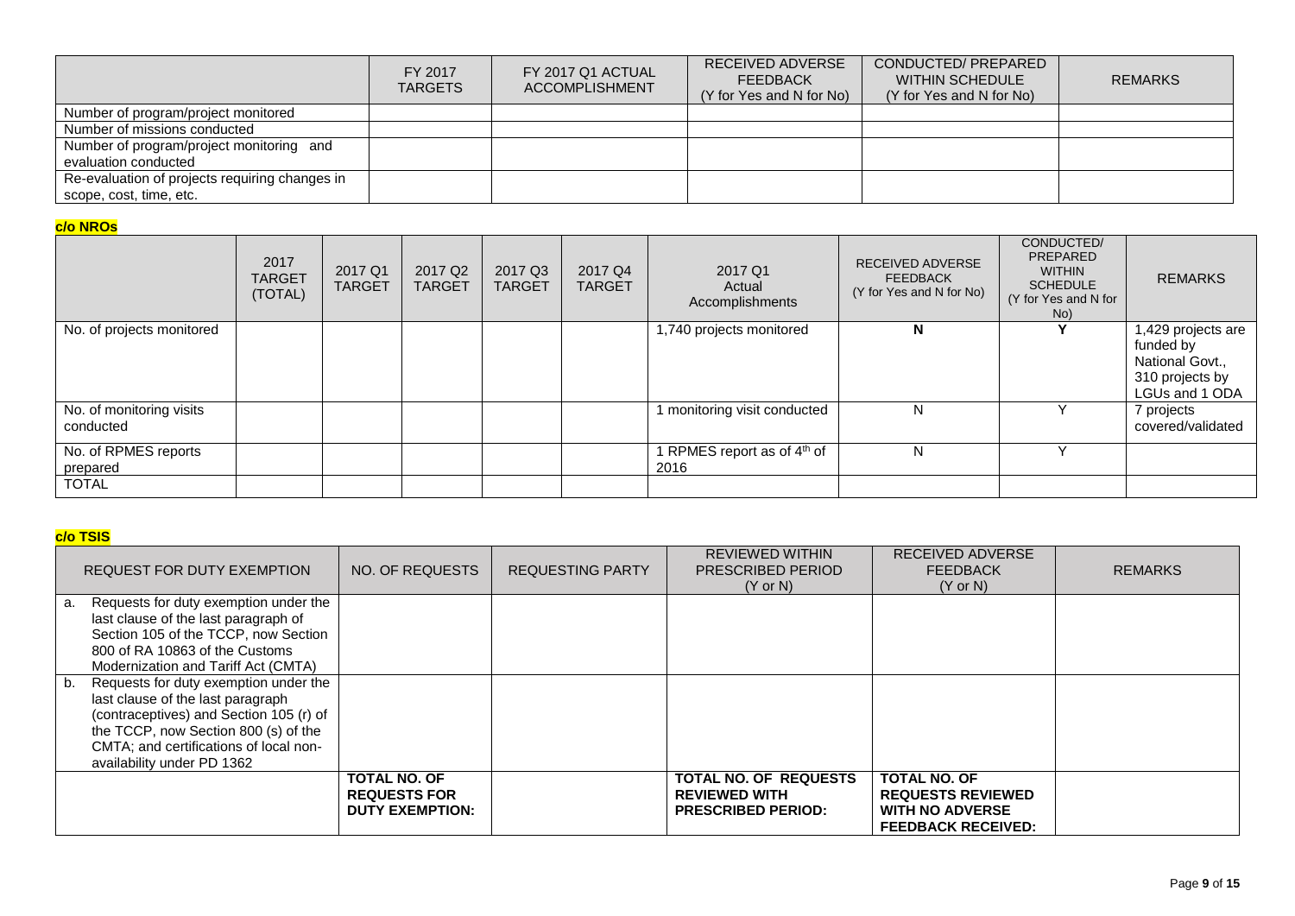|                                                                           | FY 2017<br><b>TARGETS</b> | FY 2017 Q1 ACTUAL<br><b>ACCOMPLISHMENT</b> | <b>RECEIVED ADVERSE</b><br><b>FEEDBACK</b><br>(Y for Yes and N for No) | CONDUCTED/ PREPARED<br><b>WITHIN SCHEDULE</b><br>(Y for Yes and N for No) | <b>REMARKS</b> |
|---------------------------------------------------------------------------|---------------------------|--------------------------------------------|------------------------------------------------------------------------|---------------------------------------------------------------------------|----------------|
| Number of program/project monitored                                       |                           |                                            |                                                                        |                                                                           |                |
| Number of missions conducted                                              |                           |                                            |                                                                        |                                                                           |                |
| Number of program/project monitoring and<br>evaluation conducted          |                           |                                            |                                                                        |                                                                           |                |
| Re-evaluation of projects requiring changes in<br>scope, cost, time, etc. |                           |                                            |                                                                        |                                                                           |                |

# **c/o NROs**

| <b>TARGET</b><br>(TOTAL) | 2017 Q1<br><b>TARGET</b> | 2017 Q <sub>2</sub><br><b>TARGET</b> | 2017 Q3<br><b>TARGET</b> | 2017 Q4<br><b>TARGET</b> | 2017 Q1<br>Actual<br>Accomplishments            | <b>RECEIVED ADVERSE</b><br><b>FEEDBACK</b><br>(Y for Yes and N for No) | PREPARED<br><b>WITHIN</b><br><b>SCHEDULE</b><br>(Y for Yes and N for<br>No) | <b>REMARKS</b>                                                                          |
|--------------------------|--------------------------|--------------------------------------|--------------------------|--------------------------|-------------------------------------------------|------------------------------------------------------------------------|-----------------------------------------------------------------------------|-----------------------------------------------------------------------------------------|
|                          |                          |                                      |                          |                          | 1,740 projects monitored                        | N                                                                      |                                                                             | 1,429 projects are<br>funded by<br>National Govt.,<br>310 projects by<br>LGUs and 1 ODA |
|                          |                          |                                      |                          |                          |                                                 | N                                                                      |                                                                             | 7 projects<br>covered/validated                                                         |
|                          |                          |                                      |                          |                          | 1 RPMES report as of 4 <sup>th</sup> of<br>2016 | N                                                                      |                                                                             |                                                                                         |
|                          | 2017                     |                                      |                          |                          |                                                 | 1 monitoring visit conducted                                           |                                                                             |                                                                                         |

# **c/o TSIS**

|    | REQUEST FOR DUTY EXEMPTION                                                                                                                                                                                                            | NO. OF REQUESTS                                                      | <b>REQUESTING PARTY</b> | <b>REVIEWED WITHIN</b><br><b>PRESCRIBED PERIOD</b><br>$(Y \text{ or } N)$         | <b>RECEIVED ADVERSE</b><br><b>FEEDBACK</b><br>$(Y \text{ or } N)$                                      | <b>REMARKS</b> |
|----|---------------------------------------------------------------------------------------------------------------------------------------------------------------------------------------------------------------------------------------|----------------------------------------------------------------------|-------------------------|-----------------------------------------------------------------------------------|--------------------------------------------------------------------------------------------------------|----------------|
| а. | Requests for duty exemption under the<br>last clause of the last paragraph of<br>Section 105 of the TCCP, now Section                                                                                                                 |                                                                      |                         |                                                                                   |                                                                                                        |                |
|    | 800 of RA 10863 of the Customs<br>Modernization and Tariff Act (CMTA)                                                                                                                                                                 |                                                                      |                         |                                                                                   |                                                                                                        |                |
| b. | Requests for duty exemption under the<br>last clause of the last paragraph<br>(contraceptives) and Section 105 (r) of<br>the TCCP, now Section 800 (s) of the<br>CMTA; and certifications of local non-<br>availability under PD 1362 |                                                                      |                         |                                                                                   |                                                                                                        |                |
|    |                                                                                                                                                                                                                                       | <b>TOTAL NO. OF</b><br><b>REQUESTS FOR</b><br><b>DUTY EXEMPTION:</b> |                         | <b>TOTAL NO. OF REQUESTS</b><br><b>REVIEWED WITH</b><br><b>PRESCRIBED PERIOD:</b> | <b>TOTAL NO. OF</b><br><b>REQUESTS REVIEWED</b><br><b>WITH NO ADVERSE</b><br><b>FEEDBACK RECEIVED:</b> |                |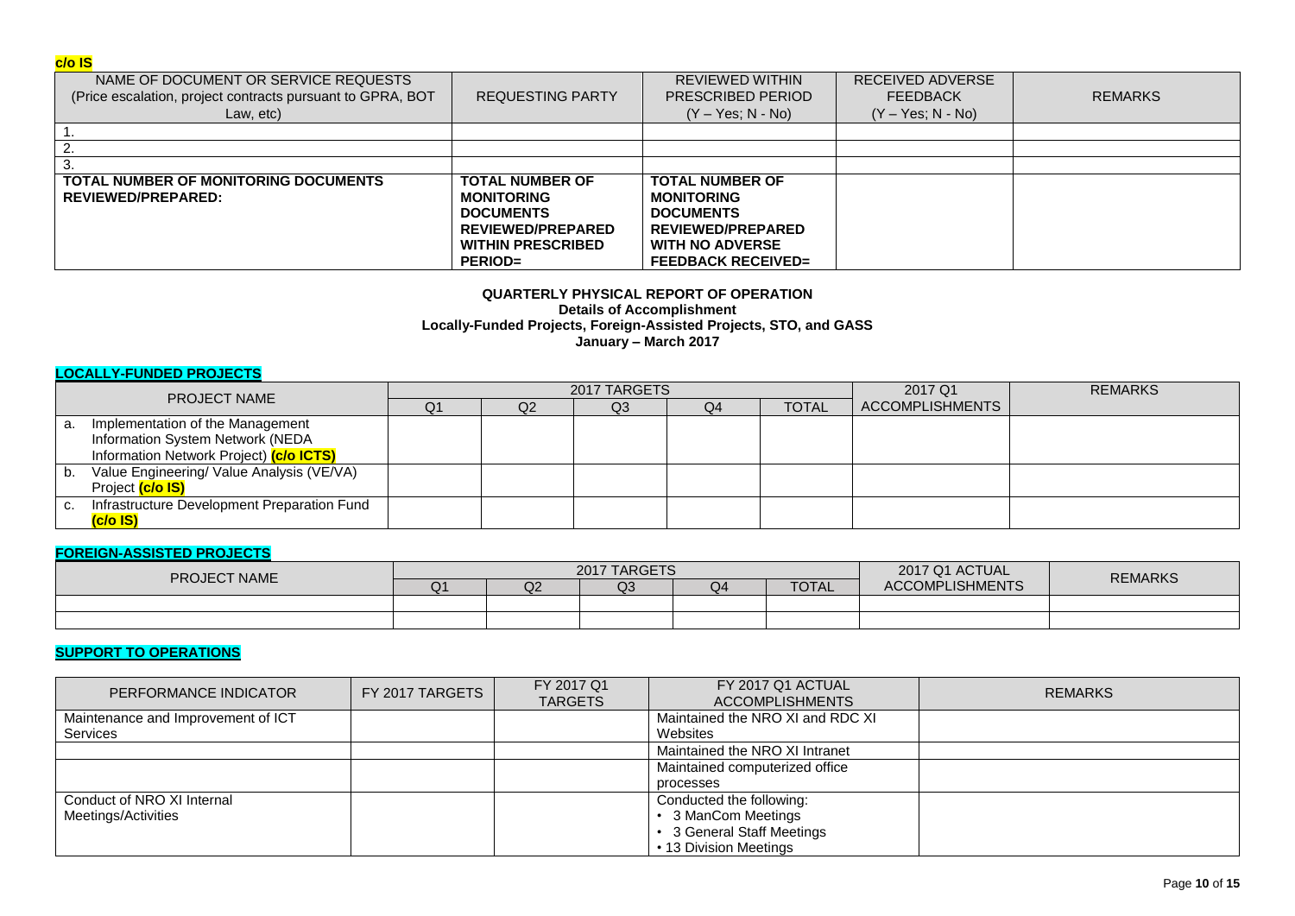## **c/o IS**

| NAME OF DOCUMENT OR SERVICE REQUESTS<br>(Price escalation, project contracts pursuant to GPRA, BOT<br>Law, etc) | <b>REQUESTING PARTY</b>                                                                                                                   | <b>REVIEWED WITHIN</b><br>PRESCRIBED PERIOD<br>$(Y - Yes; N - No)$                                                                                 | RECEIVED ADVERSE<br><b>FEEDBACK</b><br>$(Y - Yes; N - No)$ | <b>REMARKS</b> |
|-----------------------------------------------------------------------------------------------------------------|-------------------------------------------------------------------------------------------------------------------------------------------|----------------------------------------------------------------------------------------------------------------------------------------------------|------------------------------------------------------------|----------------|
|                                                                                                                 |                                                                                                                                           |                                                                                                                                                    |                                                            |                |
|                                                                                                                 |                                                                                                                                           |                                                                                                                                                    |                                                            |                |
| 3.                                                                                                              |                                                                                                                                           |                                                                                                                                                    |                                                            |                |
| <b>TOTAL NUMBER OF MONITORING DOCUMENTS</b><br>REVIEWED/PREPARED:                                               | <b>TOTAL NUMBER OF</b><br><b>MONITORING</b><br><b>DOCUMENTS</b><br><b>REVIEWED/PREPARED</b><br><b>WITHIN PRESCRIBED</b><br><b>PERIOD=</b> | <b>TOTAL NUMBER OF</b><br><b>MONITORING</b><br><b>DOCUMENTS</b><br><b>REVIEWED/PREPARED</b><br><b>WITH NO ADVERSE</b><br><b>FEEDBACK RECEIVED=</b> |                                                            |                |

### **QUARTERLY PHYSICAL REPORT OF OPERATION Details of Accomplishment Locally-Funded Projects, Foreign-Assisted Projects, STO, and GASS January – March 2017**

## **LOCALLY-FUNDED PROJECTS**

| <b>PROJECT NAME</b> |                                             | 2017 TARGETS |                |    |    |              | 2017 Q1         | <b>REMARKS</b> |
|---------------------|---------------------------------------------|--------------|----------------|----|----|--------------|-----------------|----------------|
|                     |                                             | Q1           | Q <sub>2</sub> | Q3 | Q4 | <b>TOTAL</b> | ACCOMPLISHMENTS |                |
|                     | a. Implementation of the Management         |              |                |    |    |              |                 |                |
|                     | Information System Network (NEDA            |              |                |    |    |              |                 |                |
|                     | Information Network Project) (c/o ICTS)     |              |                |    |    |              |                 |                |
| b.                  | Value Engineering/ Value Analysis (VE/VA)   |              |                |    |    |              |                 |                |
|                     | Project (c/o IS)                            |              |                |    |    |              |                 |                |
|                     | Infrastructure Development Preparation Fund |              |                |    |    |              |                 |                |
|                     | (c/o IS)                                    |              |                |    |    |              |                 |                |

## **FOREIGN-ASSISTED PROJECTS**

| <b>PROJECT NAME</b> | 2017 TARGETS |    |    |    |              | 2017 Q1 ACTUAL         |                |
|---------------------|--------------|----|----|----|--------------|------------------------|----------------|
|                     | Q1           | Q2 | Q3 | Q4 | <b>TOTAL</b> | <b>ACCOMPLISHMENTS</b> | <b>REMARKS</b> |
|                     |              |    |    |    |              |                        |                |
|                     |              |    |    |    |              |                        |                |

## **SUPPORT TO OPERATIONS**

| PERFORMANCE INDICATOR              | FY 2017 TARGETS | FY 2017 Q1<br><b>TARGETS</b> | FY 2017 Q1 ACTUAL<br><b>ACCOMPLISHMENTS</b> | <b>REMARKS</b> |
|------------------------------------|-----------------|------------------------------|---------------------------------------------|----------------|
| Maintenance and Improvement of ICT |                 |                              | Maintained the NRO XI and RDC XI            |                |
| <b>Services</b>                    |                 |                              | Websites                                    |                |
|                                    |                 |                              | Maintained the NRO XI Intranet              |                |
|                                    |                 |                              | Maintained computerized office              |                |
|                                    |                 |                              | processes                                   |                |
| Conduct of NRO XI Internal         |                 |                              | Conducted the following:                    |                |
| Meetings/Activities                |                 |                              | 3 ManCom Meetings                           |                |
|                                    |                 |                              | 3 General Staff Meetings                    |                |
|                                    |                 |                              | • 13 Division Meetings                      |                |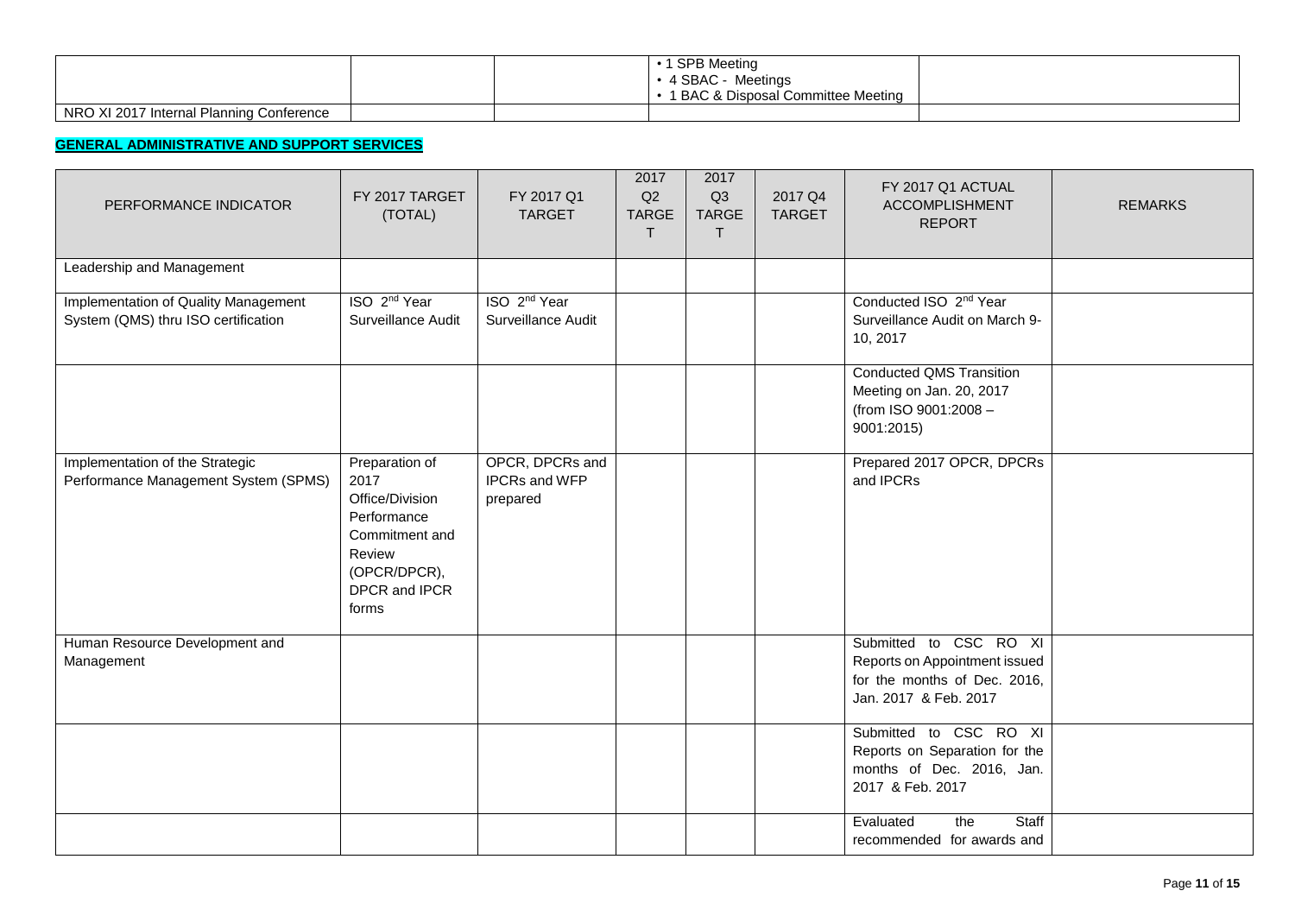|                                          | <b>SPB Meeting</b><br>4 SBAC - Meetings<br>1 BAC & Disposal Committee Meeting |  |
|------------------------------------------|-------------------------------------------------------------------------------|--|
| NRO XI 2017 Internal Planning Conference |                                                                               |  |

# **GENERAL ADMINISTRATIVE AND SUPPORT SERVICES**

| PERFORMANCE INDICATOR                                                       | FY 2017 TARGET<br>(TOTAL)                                                                                                      | FY 2017 Q1<br><b>TARGET</b>                         | 2017<br>Q2<br><b>TARGE</b><br>T | 2017<br>Q3<br><b>TARGE</b><br>$\mathsf{T}$ | 2017 Q4<br><b>TARGET</b> | FY 2017 Q1 ACTUAL<br><b>ACCOMPLISHMENT</b><br><b>REPORT</b>                                                      | <b>REMARKS</b> |
|-----------------------------------------------------------------------------|--------------------------------------------------------------------------------------------------------------------------------|-----------------------------------------------------|---------------------------------|--------------------------------------------|--------------------------|------------------------------------------------------------------------------------------------------------------|----------------|
| Leadership and Management                                                   |                                                                                                                                |                                                     |                                 |                                            |                          |                                                                                                                  |                |
| Implementation of Quality Management<br>System (QMS) thru ISO certification | ISO 2 <sup>nd</sup> Year<br>Surveillance Audit                                                                                 | ISO 2 <sup>nd</sup> Year<br>Surveillance Audit      |                                 |                                            |                          | Conducted ISO 2 <sup>nd</sup> Year<br>Surveillance Audit on March 9-<br>10, 2017                                 |                |
|                                                                             |                                                                                                                                |                                                     |                                 |                                            |                          | <b>Conducted QMS Transition</b><br>Meeting on Jan. 20, 2017<br>(from ISO 9001:2008 -<br>9001:2015)               |                |
| Implementation of the Strategic<br>Performance Management System (SPMS)     | Preparation of<br>2017<br>Office/Division<br>Performance<br>Commitment and<br>Review<br>(OPCR/DPCR),<br>DPCR and IPCR<br>forms | OPCR, DPCRs and<br><b>IPCRs and WFP</b><br>prepared |                                 |                                            |                          | Prepared 2017 OPCR, DPCRs<br>and IPCRs                                                                           |                |
| Human Resource Development and<br>Management                                |                                                                                                                                |                                                     |                                 |                                            |                          | Submitted to CSC RO XI<br>Reports on Appointment issued<br>for the months of Dec. 2016,<br>Jan. 2017 & Feb. 2017 |                |
|                                                                             |                                                                                                                                |                                                     |                                 |                                            |                          | Submitted to CSC RO XI<br>Reports on Separation for the<br>months of Dec. 2016, Jan.<br>2017 & Feb. 2017         |                |
|                                                                             |                                                                                                                                |                                                     |                                 |                                            |                          | Staff<br>Evaluated<br>the<br>recommended for awards and                                                          |                |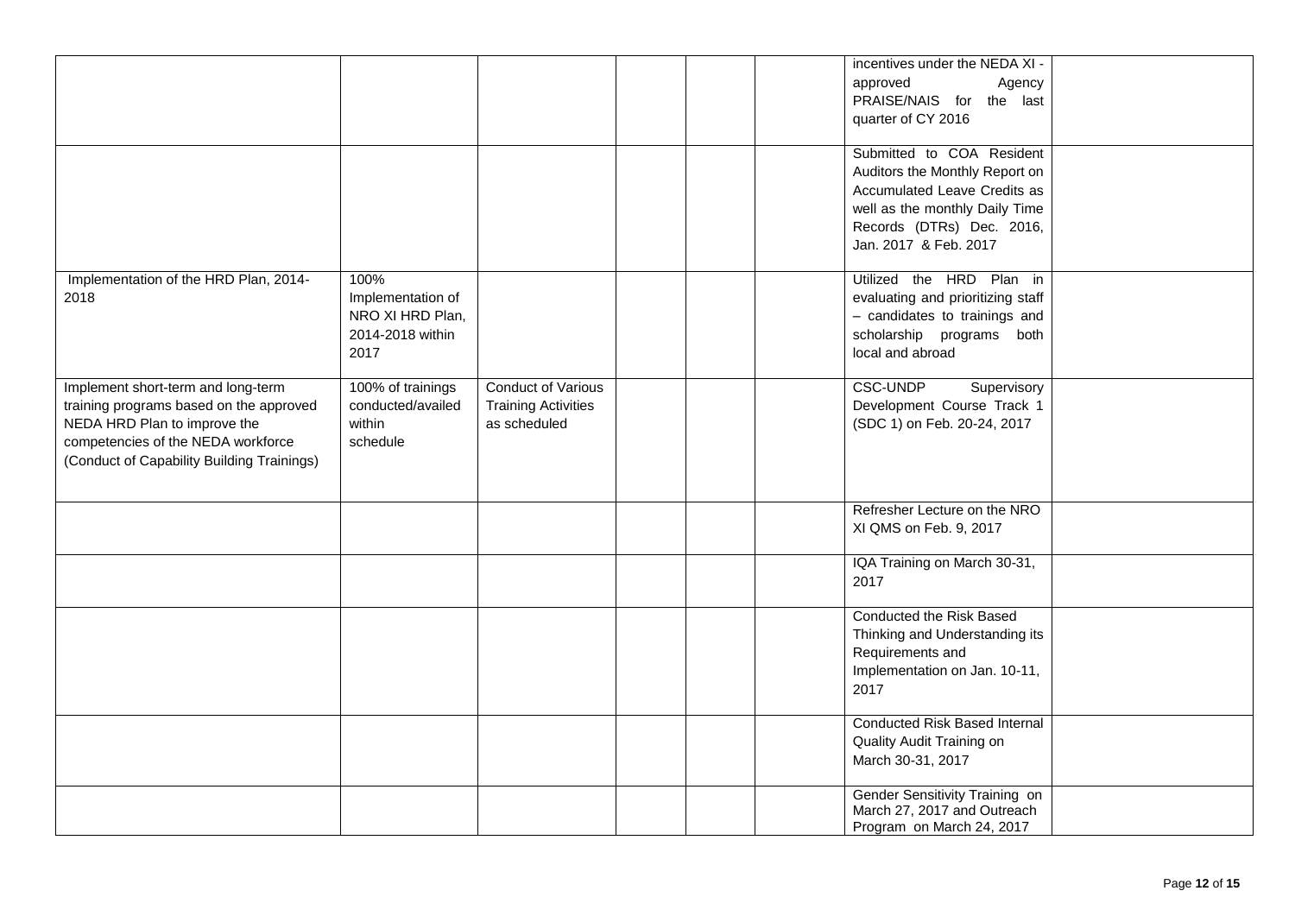|                                                                                                                                                                                                   |                                                                           |                                                                         |  | incentives under the NEDA XI -<br>approved<br>Agency<br>PRAISE/NAIS for the last<br>quarter of CY 2016<br>Submitted to COA Resident<br>Auditors the Monthly Report on<br>Accumulated Leave Credits as<br>well as the monthly Daily Time<br>Records (DTRs) Dec. 2016,<br>Jan. 2017 & Feb. 2017 |  |
|---------------------------------------------------------------------------------------------------------------------------------------------------------------------------------------------------|---------------------------------------------------------------------------|-------------------------------------------------------------------------|--|-----------------------------------------------------------------------------------------------------------------------------------------------------------------------------------------------------------------------------------------------------------------------------------------------|--|
| Implementation of the HRD Plan, 2014-<br>2018                                                                                                                                                     | 100%<br>Implementation of<br>NRO XI HRD Plan,<br>2014-2018 within<br>2017 |                                                                         |  | Utilized the HRD Plan in<br>evaluating and prioritizing staff<br>- candidates to trainings and<br>scholarship programs both<br>local and abroad                                                                                                                                               |  |
| Implement short-term and long-term<br>training programs based on the approved<br>NEDA HRD Plan to improve the<br>competencies of the NEDA workforce<br>(Conduct of Capability Building Trainings) | 100% of trainings<br>conducted/availed<br>within<br>schedule              | <b>Conduct of Various</b><br><b>Training Activities</b><br>as scheduled |  | <b>CSC-UNDP</b><br>Supervisory<br>Development Course Track 1<br>(SDC 1) on Feb. 20-24, 2017                                                                                                                                                                                                   |  |
|                                                                                                                                                                                                   |                                                                           |                                                                         |  | Refresher Lecture on the NRO<br>XI QMS on Feb. 9, 2017                                                                                                                                                                                                                                        |  |
|                                                                                                                                                                                                   |                                                                           |                                                                         |  | IQA Training on March 30-31,<br>2017                                                                                                                                                                                                                                                          |  |
|                                                                                                                                                                                                   |                                                                           |                                                                         |  | Conducted the Risk Based<br>Thinking and Understanding its<br>Requirements and<br>Implementation on Jan. 10-11,<br>2017                                                                                                                                                                       |  |
|                                                                                                                                                                                                   |                                                                           |                                                                         |  | <b>Conducted Risk Based Internal</b><br>Quality Audit Training on<br>March 30-31, 2017                                                                                                                                                                                                        |  |
|                                                                                                                                                                                                   |                                                                           |                                                                         |  | Gender Sensitivity Training on<br>March 27, 2017 and Outreach<br>Program on March 24, 2017                                                                                                                                                                                                    |  |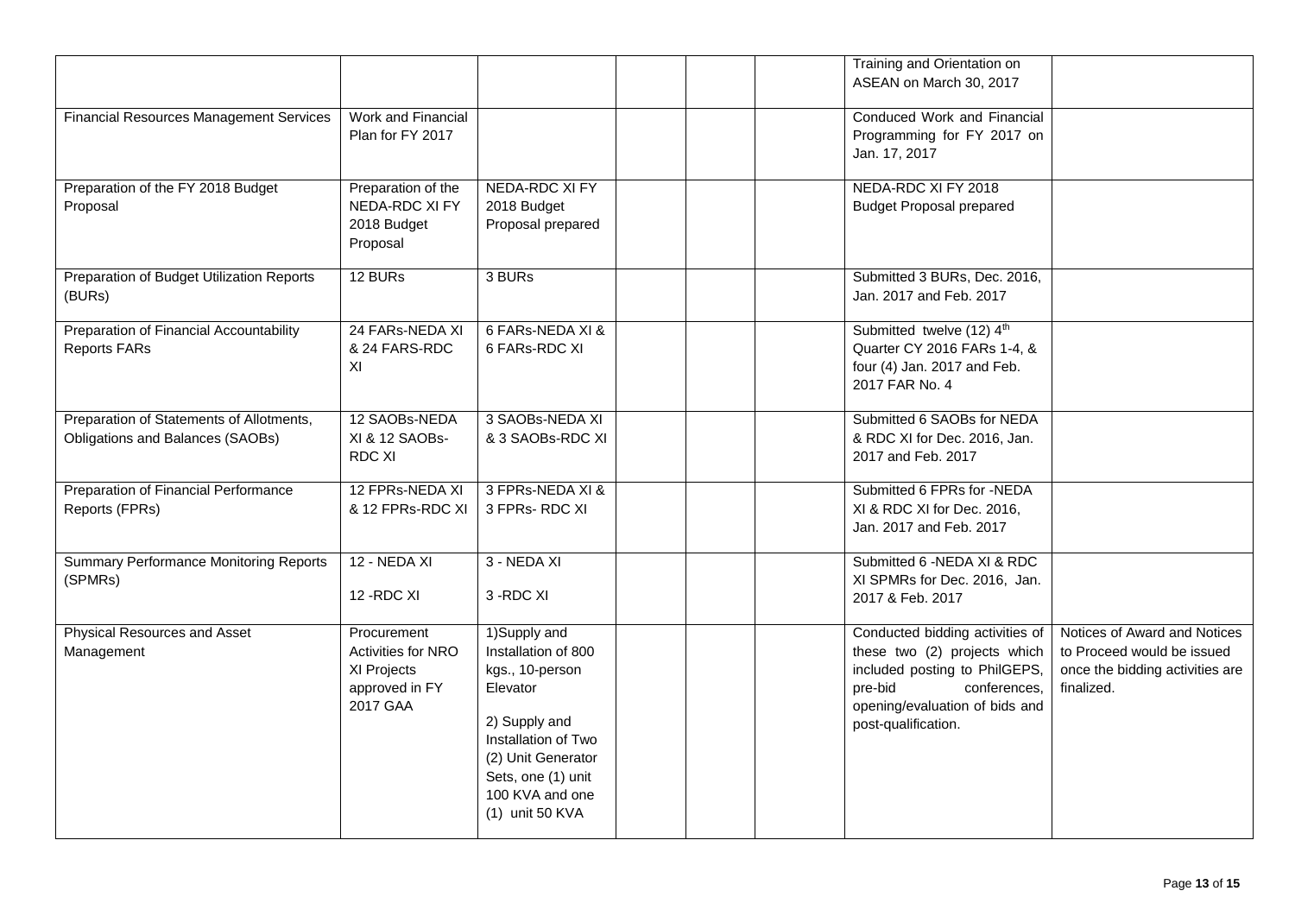|                                                |                                   |                                          |  | Training and Orientation on<br>ASEAN on March 30, 2017        |                                                               |
|------------------------------------------------|-----------------------------------|------------------------------------------|--|---------------------------------------------------------------|---------------------------------------------------------------|
| <b>Financial Resources Management Services</b> | Work and Financial                |                                          |  | Conduced Work and Financial                                   |                                                               |
|                                                | Plan for FY 2017                  |                                          |  | Programming for FY 2017 on<br>Jan. 17, 2017                   |                                                               |
| Preparation of the FY 2018 Budget              | Preparation of the                | <b>NEDA-RDC XI FY</b>                    |  | NEDA-RDC XI FY 2018                                           |                                                               |
| Proposal                                       | NEDA-RDC XI FY<br>2018 Budget     | 2018 Budget<br>Proposal prepared         |  | <b>Budget Proposal prepared</b>                               |                                                               |
|                                                | Proposal                          |                                          |  |                                                               |                                                               |
| Preparation of Budget Utilization Reports      | 12 BURs                           | 3 BURs                                   |  | Submitted 3 BURs, Dec. 2016,                                  |                                                               |
| (BURs)                                         |                                   |                                          |  | Jan. 2017 and Feb. 2017                                       |                                                               |
| Preparation of Financial Accountability        | 24 FARs-NEDA XI                   | 6 FARs-NEDA XI &                         |  | Submitted twelve (12) 4th                                     |                                                               |
| <b>Reports FARs</b>                            | & 24 FARS-RDC<br>XI               | 6 FARs-RDC XI                            |  | Quarter CY 2016 FARs 1-4, &<br>four (4) Jan. 2017 and Feb.    |                                                               |
|                                                |                                   |                                          |  | 2017 FAR No. 4                                                |                                                               |
| Preparation of Statements of Allotments,       | 12 SAOBs-NEDA                     | 3 SAOBs-NEDA XI                          |  | Submitted 6 SAOBs for NEDA                                    |                                                               |
| Obligations and Balances (SAOBs)               | XI & 12 SAOBs-                    | & 3 SAOBs-RDC XI                         |  | & RDC XI for Dec. 2016, Jan.                                  |                                                               |
|                                                | RDC XI                            |                                          |  | 2017 and Feb. 2017                                            |                                                               |
| <b>Preparation of Financial Performance</b>    | 12 FPRs-NEDA XI                   | 3 FPRs-NEDA XI &                         |  | Submitted 6 FPRs for -NEDA                                    |                                                               |
| Reports (FPRs)                                 | & 12 FPRs-RDC XI                  | 3 FPRs-RDC XI                            |  | XI & RDC XI for Dec. 2016,                                    |                                                               |
|                                                |                                   |                                          |  | Jan. 2017 and Feb. 2017                                       |                                                               |
| <b>Summary Performance Monitoring Reports</b>  | <b>12 - NEDA XI</b>               | 3 - NEDA XI                              |  | Submitted 6 -NEDA XI & RDC                                    |                                                               |
| (SPMRs)                                        | 12-RDC XI                         | 3-RDC XI                                 |  | XI SPMRs for Dec. 2016, Jan.<br>2017 & Feb. 2017              |                                                               |
|                                                |                                   |                                          |  |                                                               |                                                               |
| Physical Resources and Asset                   | Procurement                       | 1)Supply and                             |  | Conducted bidding activities of                               | Notices of Award and Notices                                  |
| Management                                     | Activities for NRO<br>XI Projects | Installation of 800<br>kgs., 10-person   |  | these two (2) projects which<br>included posting to PhilGEPS, | to Proceed would be issued<br>once the bidding activities are |
|                                                | approved in FY                    | Elevator                                 |  | pre-bid<br>conferences,                                       | finalized.                                                    |
|                                                | 2017 GAA                          |                                          |  | opening/evaluation of bids and                                |                                                               |
|                                                |                                   | 2) Supply and                            |  | post-qualification.                                           |                                                               |
|                                                |                                   | Installation of Two                      |  |                                                               |                                                               |
|                                                |                                   | (2) Unit Generator<br>Sets, one (1) unit |  |                                                               |                                                               |
|                                                |                                   | 100 KVA and one                          |  |                                                               |                                                               |
|                                                |                                   | (1) unit 50 KVA                          |  |                                                               |                                                               |
|                                                |                                   |                                          |  |                                                               |                                                               |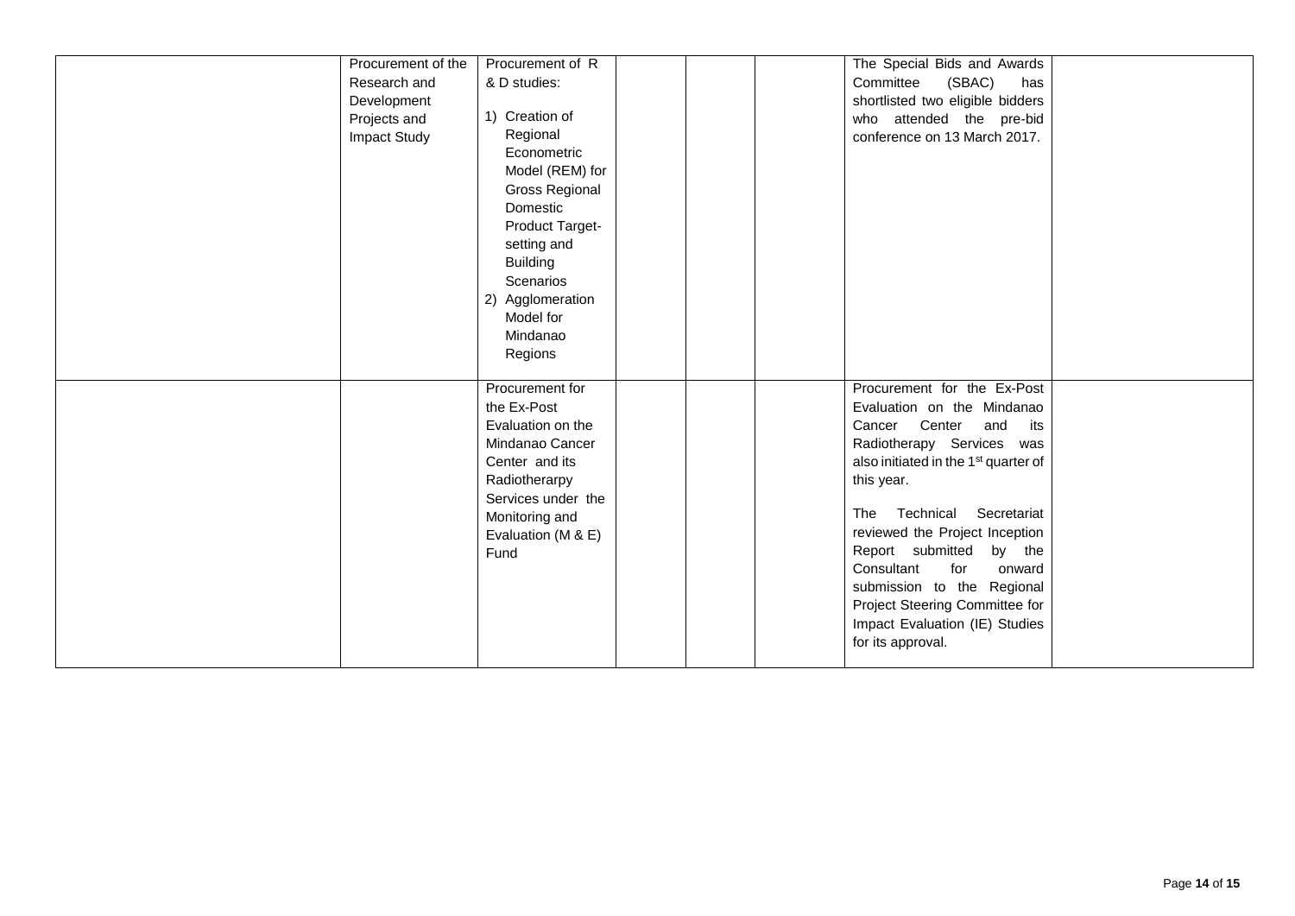| Procurement of the<br>Research and<br>Development<br>Projects and<br>Impact Study | Procurement of R<br>& D studies:<br>1) Creation of<br>Regional<br>Econometric<br>Model (REM) for                                                                                |  | The Special Bids and Awards<br>Committee<br>(SBAC)<br>has<br>shortlisted two eligible bidders<br>who attended the pre-bid<br>conference on 13 March 2017.                                                                                                                                                                                                                                                                            |  |
|-----------------------------------------------------------------------------------|---------------------------------------------------------------------------------------------------------------------------------------------------------------------------------|--|--------------------------------------------------------------------------------------------------------------------------------------------------------------------------------------------------------------------------------------------------------------------------------------------------------------------------------------------------------------------------------------------------------------------------------------|--|
|                                                                                   | <b>Gross Regional</b><br>Domestic<br>Product Target-<br>setting and<br><b>Building</b><br>Scenarios<br>2) Agglomeration<br>Model for<br>Mindanao<br>Regions                     |  |                                                                                                                                                                                                                                                                                                                                                                                                                                      |  |
|                                                                                   | Procurement for<br>the Ex-Post<br>Evaluation on the<br>Mindanao Cancer<br>Center and its<br>Radiotherarpy<br>Services under the<br>Monitoring and<br>Evaluation (M & E)<br>Fund |  | Procurement for the Ex-Post<br>Evaluation on the Mindanao<br>Cancer Center and its<br>Radiotherapy Services was<br>also initiated in the 1 <sup>st</sup> quarter of<br>this year.<br>The Technical Secretariat<br>reviewed the Project Inception<br>Report submitted<br>by the<br>Consultant<br>for<br>onward<br>submission to the Regional<br>Project Steering Committee for<br>Impact Evaluation (IE) Studies<br>for its approval. |  |